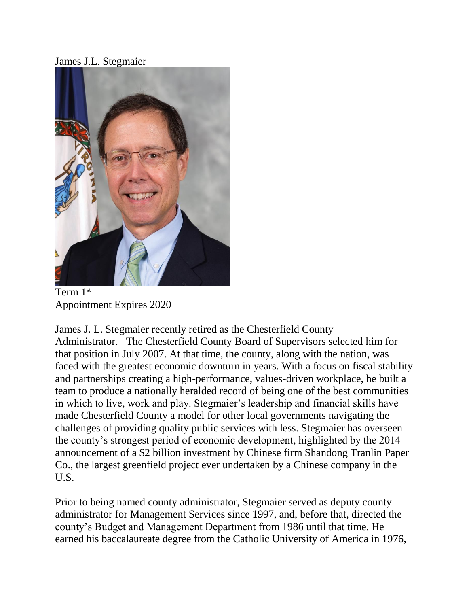James J.L. Stegmaier



Term 1st Appointment Expires 2020

James J. L. Stegmaier recently retired as the Chesterfield County Administrator. The Chesterfield County Board of Supervisors selected him for that position in July 2007. At that time, the county, along with the nation, was faced with the greatest economic downturn in years. With a focus on fiscal stability and partnerships creating a high-performance, values-driven workplace, he built a team to produce a nationally heralded record of being one of the best communities in which to live, work and play. Stegmaier's leadership and financial skills have made Chesterfield County a model for other local governments navigating the challenges of providing quality public services with less. Stegmaier has overseen the county's strongest period of economic development, highlighted by the 2014 announcement of a \$2 billion investment by Chinese firm Shandong Tranlin Paper Co., the largest greenfield project ever undertaken by a Chinese company in the U.S.

Prior to being named county administrator, Stegmaier served as deputy county administrator for Management Services since 1997, and, before that, directed the county's Budget and Management Department from 1986 until that time. He earned his baccalaureate degree from the Catholic University of America in 1976,